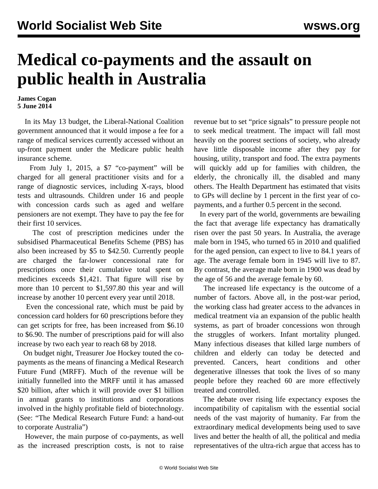## **Medical co-payments and the assault on public health in Australia**

## **James Cogan 5 June 2014**

 In its May 13 budget, the Liberal-National Coalition government announced that it would impose a fee for a range of medical services currently accessed without an up-front payment under the Medicare public health insurance scheme.

From July 1, 2015, a \$7 "co-payment" will be charged for all general practitioner visits and for a range of diagnostic services, including X-rays, blood tests and ultrasounds. Children under 16 and people with concession cards such as aged and welfare pensioners are not exempt. They have to pay the fee for their first 10 services.

 The cost of prescription medicines under the subsidised Pharmaceutical Benefits Scheme (PBS) has also been increased by \$5 to \$42.50. Currently people are charged the far-lower concessional rate for prescriptions once their cumulative total spent on medicines exceeds \$1,421. That figure will rise by more than 10 percent to \$1,597.80 this year and will increase by another 10 percent every year until 2018.

 Even the concessional rate, which must be paid by concession card holders for 60 prescriptions before they can get scripts for free, has been increased from \$6.10 to \$6.90. The number of prescriptions paid for will also increase by two each year to reach 68 by 2018.

 On budget night, Treasurer Joe Hockey touted the copayments as the means of financing a Medical Research Future Fund (MRFF). Much of the revenue will be initially funnelled into the MRFF until it has amassed \$20 billion, after which it will provide over \$1 billion in annual grants to institutions and corporations involved in the highly profitable field of biotechnology. (See: "The Medical Research Future Fund: a hand-out to corporate Australia")

 However, the main purpose of co-payments, as well as the increased prescription costs, is not to raise revenue but to set "price signals" to pressure people not to seek medical treatment. The impact will fall most heavily on the poorest sections of society, who already have little disposable income after they pay for housing, utility, transport and food. The extra payments will quickly add up for families with children, the elderly, the chronically ill, the disabled and many others. The Health Department has estimated that visits to GPs will decline by 1 percent in the first year of copayments, and a further 0.5 percent in the second.

 In every part of the world, governments are bewailing the fact that average life expectancy has dramatically risen over the past 50 years. In Australia, the average male born in 1945, who turned 65 in 2010 and qualified for the aged pension, can expect to live to 84.1 years of age. The average female born in 1945 will live to 87. By contrast, the average male born in 1900 was dead by the age of 56 and the average female by 60.

 The increased life expectancy is the outcome of a number of factors. Above all, in the post-war period, the working class had greater access to the advances in medical treatment via an expansion of the public health systems, as part of broader concessions won through the struggles of workers. Infant mortality plunged. Many infectious diseases that killed large numbers of children and elderly can today be detected and prevented. Cancers, heart conditions and other degenerative illnesses that took the lives of so many people before they reached 60 are more effectively treated and controlled.

 The debate over rising life expectancy exposes the incompatibility of capitalism with the essential social needs of the vast majority of humanity. Far from the extraordinary medical developments being used to save lives and better the health of all, the political and media representatives of the ultra-rich argue that access has to